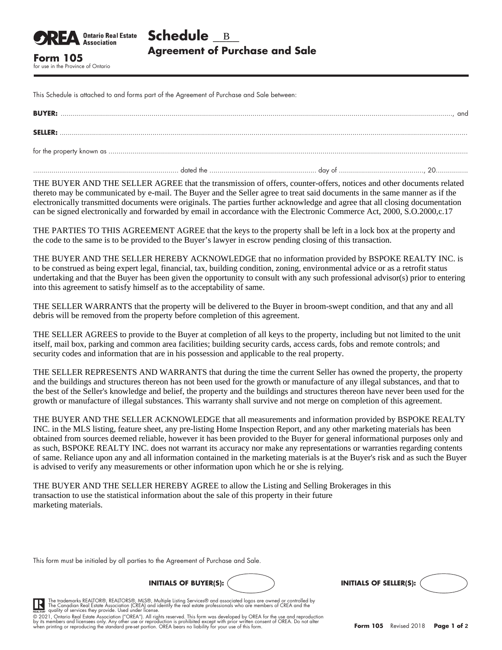This Schedule is attached to and forms part of the Agreement of Purchase and Sale between:

for use in the Province of Ontario

**Ontario Real Estate Association** 

| <b>BUYER:</b>  |  | . and |
|----------------|--|-------|
| <b>SELLER:</b> |  |       |
|                |  |       |
|                |  |       |

THE BUYER AND THE SELLER AGREE that the transmission of offers, counter-offers, notices and other documents related thereto may be communicated by e-mail. The Buyer and the Seller agree to treat said documents in the same manner as if the electronically transmitted documents were originals. The parties further acknowledge and agree that all closing documentation can be signed electronically and forwarded by email in accordance with the Electronic Commerce Act, 2000, S.O.2000,c.17

THE PARTIES TO THIS AGREEMENT AGREE that the keys to the property shall be left in a lock box at the property and the code to the same is to be provided to the Buyer's lawyer in escrow pending closing of this transaction.

THE BUYER AND THE SELLER HEREBY ACKNOWLEDGE that no information provided by BSPOKE REALTY INC. is to be construed as being expert legal, financial, tax, building condition, zoning, environmental advice or as a retrofit status undertaking and that the Buyer has been given the opportunity to consult with any such professional advisor(s) prior to entering into this agreement to satisfy himself as to the acceptability of same.

THE SELLER WARRANTS that the property will be delivered to the Buyer in broom-swept condition, and that any and all debris will be removed from the property before completion of this agreement.

THE SELLER AGREES to provide to the Buyer at completion of all keys to the property, including but not limited to the unit itself, mail box, parking and common area facilities; building security cards, access cards, fobs and remote controls; and security codes and information that are in his possession and applicable to the real property.

THE SELLER REPRESENTS AND WARRANTS that during the time the current Seller has owned the property, the property and the buildings and structures thereon has not been used for the growth or manufacture of any illegal substances, and that to the best of the Seller's knowledge and belief, the property and the buildings and structures thereon have never been used for the growth or manufacture of illegal substances. This warranty shall survive and not merge on completion of this agreement.

THE BUYER AND THE SELLER ACKNOWLEDGE that all measurements and information provided by BSPOKE REALTY INC. in the MLS listing, feature sheet, any pre-listing Home Inspection Report, and any other marketing materials has been obtained from sources deemed reliable, however it has been provided to the Buyer for general informational purposes only and as such, BSPOKE REALTY INC. does not warrant its accuracy nor make any representations or warranties regarding contents of same. Reliance upon any and all information contained in the marketing materials is at the Buyer's risk and as such the Buyer is advised to verify any measurements or other information upon which he or she is relying.

THE BUYER AND THE SELLER HEREBY AGREE to allow the Listing and Selling Brokerages in this transaction to use the statistical information about the sale of this property in their future marketing materials.

This form must be initialed by all parties to the Agreement of Purchase and Sale.





The trademarks REALTOR®, REALTORS®, MLS®, Multiple Listing Services® and associated logos are owned or controlled by<br>The Canadian Real Estate Association (CREA) and identify the real estate professionals who are members of

© 2021, Ontario Real Estate Association ("OREA"). All rights reserved. This form was developed by OREA for the use and reproduction<br>by its members and licensees only. Any other use or reproduction is prohibited except with